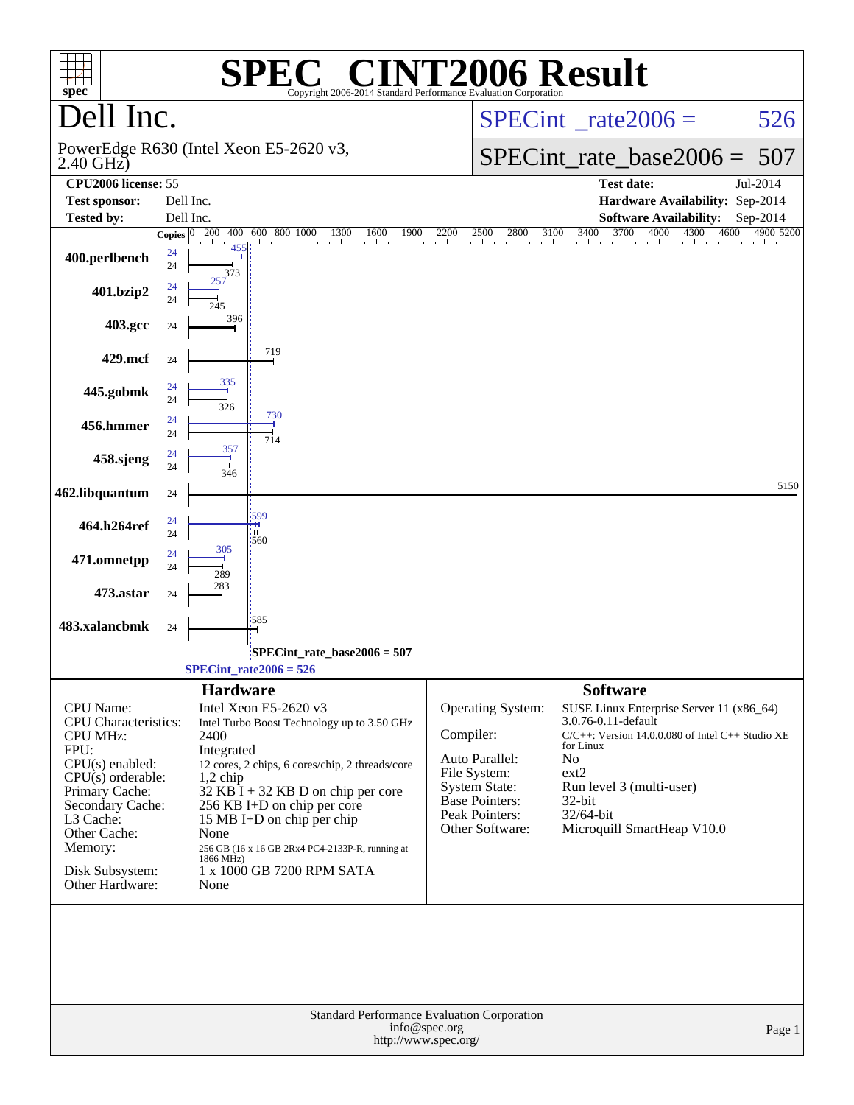| $spec^*$                           | SPE                                                | $\lceil$ ' $\mathbb{R}$ $\lceil$ ' $\rceil$<br>Copyright 2006-2014 Standard Performance Evaluation Corporation | <b>INT2006 Result</b>                         |                                                                                                                                                                                                                                              |            |
|------------------------------------|----------------------------------------------------|----------------------------------------------------------------------------------------------------------------|-----------------------------------------------|----------------------------------------------------------------------------------------------------------------------------------------------------------------------------------------------------------------------------------------------|------------|
| Dell Inc.                          |                                                    |                                                                                                                |                                               | $SPECint^{\circ}$ rate 2006 =                                                                                                                                                                                                                | 526        |
| $2.40$ GHz $)$                     | PowerEdge R630 (Intel Xeon E5-2620 v3,             |                                                                                                                |                                               | $SPECint_rate_base2006 =$                                                                                                                                                                                                                    | 507        |
| CPU2006 license: 55                |                                                    |                                                                                                                |                                               | <b>Test date:</b>                                                                                                                                                                                                                            | Jul-2014   |
| <b>Test sponsor:</b>               | Dell Inc.                                          |                                                                                                                |                                               | Hardware Availability: Sep-2014                                                                                                                                                                                                              |            |
| <b>Tested by:</b>                  | Dell Inc.                                          |                                                                                                                |                                               | <b>Software Availability:</b>                                                                                                                                                                                                                | $Sep-2014$ |
|                                    | Copies $\overline{0\quad 200 \quad 400}$<br>a di a | 600 800 1000                                                                                                   |                                               | $\frac{00}{1000}$ $\frac{800}{1000}$ $\frac{1000}{1000}$ $\frac{1000}{1000}$ $\frac{2200}{2500}$ $\frac{2500}{2500}$ $\frac{2800}{3100}$ $\frac{3400}{3700}$ $\frac{3700}{4000}$ $\frac{4000}{4300}$ $\frac{4500}{4900}$ $\frac{4900}{5200}$ |            |
| 400.perlbench                      | 24<br>24<br>373                                    |                                                                                                                |                                               |                                                                                                                                                                                                                                              |            |
| 401.bzip2                          | 24<br>24                                           |                                                                                                                |                                               |                                                                                                                                                                                                                                              |            |
| 403.gcc                            | 396<br>24                                          |                                                                                                                |                                               |                                                                                                                                                                                                                                              |            |
| 429.mcf                            | 24<br>335                                          | 719                                                                                                            |                                               |                                                                                                                                                                                                                                              |            |
| 445.gobmk                          | 24<br>24<br>326                                    | 730                                                                                                            |                                               |                                                                                                                                                                                                                                              |            |
| 456.hmmer                          | 24<br>24<br>357                                    | 714                                                                                                            |                                               |                                                                                                                                                                                                                                              |            |
| 458.sjeng                          | 24<br>24<br>346                                    |                                                                                                                |                                               |                                                                                                                                                                                                                                              | 5150       |
| 462.libquantum                     | 24                                                 |                                                                                                                |                                               |                                                                                                                                                                                                                                              |            |
| 464.h264ref                        | 599<br>24<br>24<br>560                             |                                                                                                                |                                               |                                                                                                                                                                                                                                              |            |
| 471.omnetpp                        | 305<br>24<br>24<br>289                             |                                                                                                                |                                               |                                                                                                                                                                                                                                              |            |
| 473.astar                          | 283<br>24                                          |                                                                                                                |                                               |                                                                                                                                                                                                                                              |            |
| 483.xalancbmk                      | 585<br>24                                          |                                                                                                                |                                               |                                                                                                                                                                                                                                              |            |
|                                    |                                                    | $SPECint_rate_base2006 = 507$                                                                                  |                                               |                                                                                                                                                                                                                                              |            |
|                                    | $SPECint_rate2006 = 526$                           |                                                                                                                |                                               |                                                                                                                                                                                                                                              |            |
|                                    | <b>Hardware</b>                                    |                                                                                                                |                                               | <b>Software</b>                                                                                                                                                                                                                              |            |
| CPU Name:                          | Intel Xeon E5-2620 v3                              |                                                                                                                | <b>Operating System:</b>                      | SUSE Linux Enterprise Server 11 (x86_64)                                                                                                                                                                                                     |            |
| <b>CPU</b> Characteristics:        |                                                    | Intel Turbo Boost Technology up to 3.50 GHz                                                                    |                                               | 3.0.76-0.11-default                                                                                                                                                                                                                          |            |
| <b>CPU MHz:</b><br>FPU:            | 2400<br>Integrated                                 |                                                                                                                | Compiler:                                     | C/C++: Version 14.0.0.080 of Intel C++ Studio XE<br>for Linux                                                                                                                                                                                |            |
| $CPU(s)$ enabled:                  |                                                    | 12 cores, 2 chips, 6 cores/chip, 2 threads/core                                                                | Auto Parallel:                                | N <sub>o</sub>                                                                                                                                                                                                                               |            |
| $CPU(s)$ orderable:                | $1,2$ chip                                         |                                                                                                                | File System:                                  | ext2                                                                                                                                                                                                                                         |            |
| Primary Cache:                     |                                                    | $32$ KB I + 32 KB D on chip per core                                                                           | <b>System State:</b><br><b>Base Pointers:</b> | Run level 3 (multi-user)<br>32-bit                                                                                                                                                                                                           |            |
| Secondary Cache:<br>L3 Cache:      |                                                    | 256 KB I+D on chip per core<br>15 MB I+D on chip per chip                                                      | Peak Pointers:                                | 32/64-bit                                                                                                                                                                                                                                    |            |
| Other Cache:                       | None                                               |                                                                                                                | Other Software:                               | Microquill SmartHeap V10.0                                                                                                                                                                                                                   |            |
| Memory:                            | 1866 MHz)                                          | 256 GB (16 x 16 GB 2Rx4 PC4-2133P-R, running at                                                                |                                               |                                                                                                                                                                                                                                              |            |
| Disk Subsystem:<br>Other Hardware: | None                                               | 1 x 1000 GB 7200 RPM SATA                                                                                      |                                               |                                                                                                                                                                                                                                              |            |
|                                    |                                                    |                                                                                                                | Standard Performance Evaluation Corporation   |                                                                                                                                                                                                                                              |            |
|                                    |                                                    |                                                                                                                | info@spec.org<br>http://www.spec.org/         |                                                                                                                                                                                                                                              | Page 1     |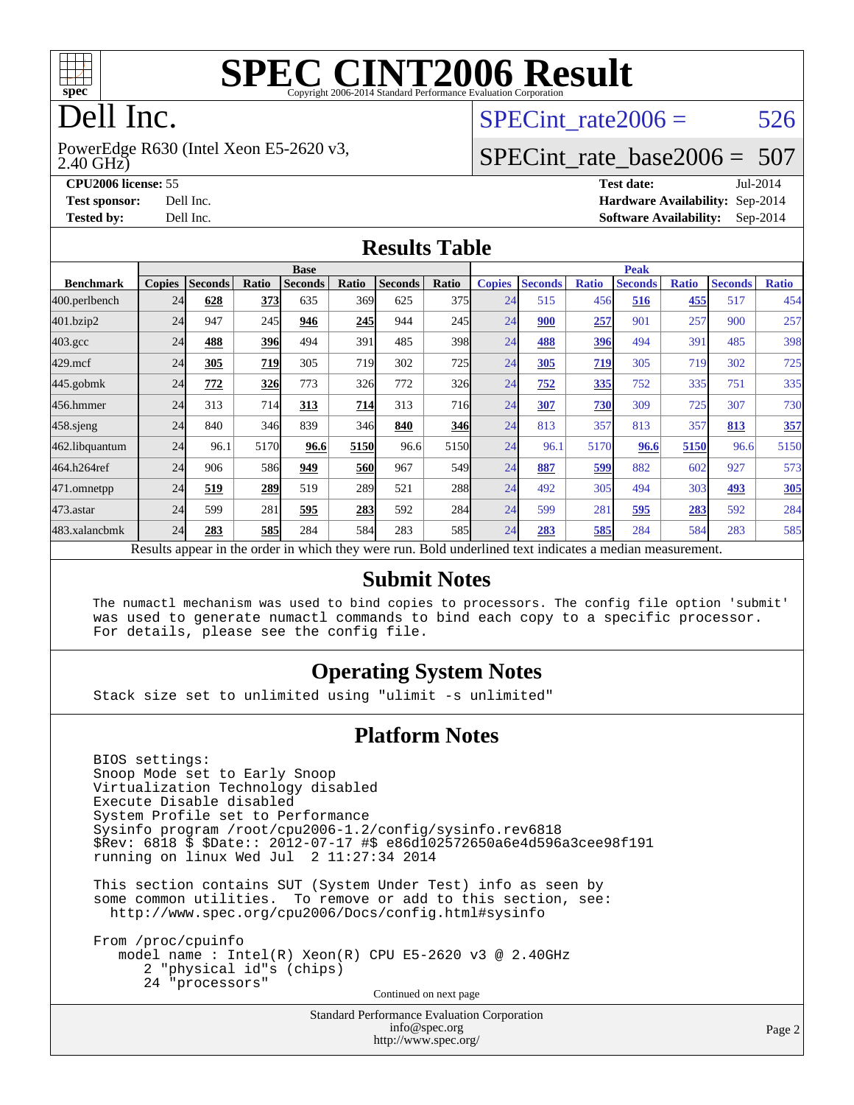

# **[SPEC CINT2006 Result](http://www.spec.org/auto/cpu2006/Docs/result-fields.html#SPECCINT2006Result)**

# Dell Inc.

2.40 GHz) PowerEdge R630 (Intel Xeon E5-2620 v3, SPECint rate $2006 = 526$ 

#### [SPECint\\_rate\\_base2006 =](http://www.spec.org/auto/cpu2006/Docs/result-fields.html#SPECintratebase2006) 507

**[CPU2006 license:](http://www.spec.org/auto/cpu2006/Docs/result-fields.html#CPU2006license)** 55 **[Test date:](http://www.spec.org/auto/cpu2006/Docs/result-fields.html#Testdate)** Jul-2014 **[Test sponsor:](http://www.spec.org/auto/cpu2006/Docs/result-fields.html#Testsponsor)** Dell Inc. **[Hardware Availability:](http://www.spec.org/auto/cpu2006/Docs/result-fields.html#HardwareAvailability)** Sep-2014 **[Tested by:](http://www.spec.org/auto/cpu2006/Docs/result-fields.html#Testedby)** Dell Inc. **[Software Availability:](http://www.spec.org/auto/cpu2006/Docs/result-fields.html#SoftwareAvailability)** Sep-2014

#### **[Results Table](http://www.spec.org/auto/cpu2006/Docs/result-fields.html#ResultsTable)**

|                                                                                                          | <b>Base</b>   |                |            |                |            |                | <b>Peak</b> |               |                |              |                |              |                |              |
|----------------------------------------------------------------------------------------------------------|---------------|----------------|------------|----------------|------------|----------------|-------------|---------------|----------------|--------------|----------------|--------------|----------------|--------------|
| <b>Benchmark</b>                                                                                         | <b>Copies</b> | <b>Seconds</b> | Ratio      | <b>Seconds</b> | Ratio      | <b>Seconds</b> | Ratio       | <b>Copies</b> | <b>Seconds</b> | <b>Ratio</b> | <b>Seconds</b> | <b>Ratio</b> | <b>Seconds</b> | <b>Ratio</b> |
| $ 400.\text{perlbench}$                                                                                  | 24            | 628            | 373        | 635            | 369        | 625            | 375         | 24            | 515            | 456          | 516            | 455          | 517            | 454          |
| 401.bzip2                                                                                                | 24            | 947            | 245        | 946            | 245        | 944            | 245         | 24            | 900            | 257          | 901            | 257          | 900            | 257          |
| $403.\mathrm{gcc}$                                                                                       | 24            | 488            | <b>396</b> | 494            | 391        | 485            | 398         | 24            | 488            | 396          | 494            | 391          | 485            | 398          |
| $429$ .mcf                                                                                               | 24            | 305            | 719        | 305            | 719        | 302            | 725         | 24            | 305            | 719          | 305            | 719          | 302            | 725          |
| $445$ .gobmk                                                                                             | 24            | <u>772</u>     | 326        | 773            | 326        | 772            | <b>326</b>  | 24            | 752            | 335          | 752            | 335          | 751            | 335          |
| 456.hmmer                                                                                                | 24            | 313            | 714        | 313            | 714        | 313            | <b>716</b>  | 24            | 307            | 730          | 309            | 725          | 307            | 730          |
| 458.sjeng                                                                                                | 24            | 840            | 346        | 839            | 346        | 840            | 346         | 24            | 813            | 357          | 813            | 357          | 813            | 357          |
| 462.libquantum                                                                                           | 24            | 96.1           | 5170       | 96.6           | 5150       | 96.6           | 5150        | 24            | 96.1           | 5170         | 96.6           | 5150         | 96.6           | 5150         |
| 464.h264ref                                                                                              | 24            | 906            | 586        | 949            | <b>560</b> | 967            | 549         | 24            | 887            | 599          | 882            | 602          | 927            | 573          |
| 471.omnetpp                                                                                              | 24            | 519            | 289        | 519            | 289        | 521            | 288         | 24            | 492            | 305          | 494            | 303          | 493            | 305          |
| $473$ . astar                                                                                            | 24            | 599            | 281        | 595            | 283        | 592            | 284         | 24            | 599            | 281          | 595            | 283          | 592            | 284          |
| 483.xalancbmk                                                                                            | 24            | 283            | <b>585</b> | 284            | 584        | 283            | 585         | 24            | 283            | 585          | 284            | 584          | 283            | 585          |
| Results appear in the order in which they were run. Bold underlined text indicates a median measurement. |               |                |            |                |            |                |             |               |                |              |                |              |                |              |

#### **[Submit Notes](http://www.spec.org/auto/cpu2006/Docs/result-fields.html#SubmitNotes)**

 The numactl mechanism was used to bind copies to processors. The config file option 'submit' was used to generate numactl commands to bind each copy to a specific processor. For details, please see the config file.

#### **[Operating System Notes](http://www.spec.org/auto/cpu2006/Docs/result-fields.html#OperatingSystemNotes)**

Stack size set to unlimited using "ulimit -s unlimited"

#### **[Platform Notes](http://www.spec.org/auto/cpu2006/Docs/result-fields.html#PlatformNotes)**

 BIOS settings: Snoop Mode set to Early Snoop Virtualization Technology disabled Execute Disable disabled System Profile set to Performance Sysinfo program /root/cpu2006-1.2/config/sysinfo.rev6818 \$Rev: 6818 \$ \$Date:: 2012-07-17 #\$ e86d102572650a6e4d596a3cee98f191 running on linux Wed Jul 2 11:27:34 2014

 This section contains SUT (System Under Test) info as seen by some common utilities. To remove or add to this section, see: <http://www.spec.org/cpu2006/Docs/config.html#sysinfo>

 From /proc/cpuinfo model name : Intel(R) Xeon(R) CPU E5-2620 v3 @ 2.40GHz 2 "physical id"s (chips) 24 "processors" Continued on next page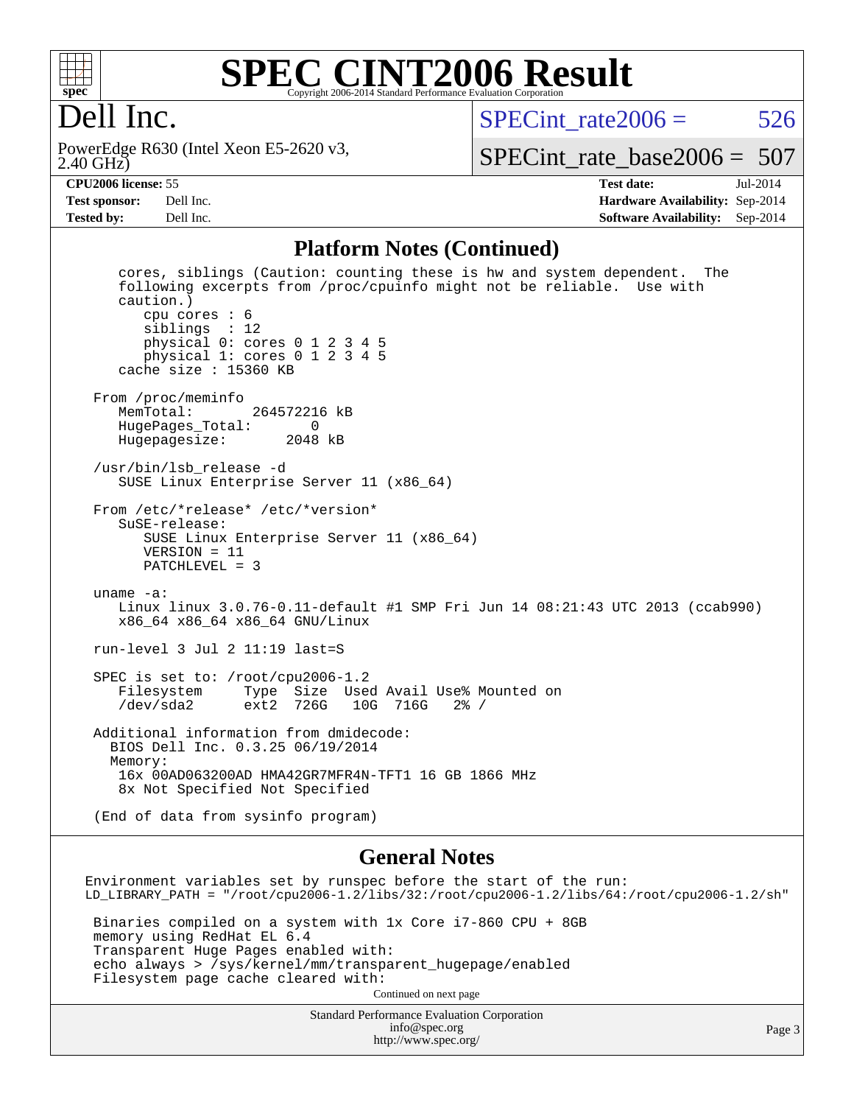

#### **[SPEC CINT2006 Result](http://www.spec.org/auto/cpu2006/Docs/result-fields.html#SPECCINT2006Result)** Copyright 2006-2014 Standard Performance Evaluation Corpora

# Dell Inc.

2.40 GHz) PowerEdge R630 (Intel Xeon E5-2620 v3, SPECint rate $2006 = 526$ 

[SPECint\\_rate\\_base2006 =](http://www.spec.org/auto/cpu2006/Docs/result-fields.html#SPECintratebase2006) 507

**[CPU2006 license:](http://www.spec.org/auto/cpu2006/Docs/result-fields.html#CPU2006license)** 55 **[Test date:](http://www.spec.org/auto/cpu2006/Docs/result-fields.html#Testdate)** Jul-2014 **[Test sponsor:](http://www.spec.org/auto/cpu2006/Docs/result-fields.html#Testsponsor)** Dell Inc. **[Hardware Availability:](http://www.spec.org/auto/cpu2006/Docs/result-fields.html#HardwareAvailability)** Sep-2014 **[Tested by:](http://www.spec.org/auto/cpu2006/Docs/result-fields.html#Testedby)** Dell Inc. **[Software Availability:](http://www.spec.org/auto/cpu2006/Docs/result-fields.html#SoftwareAvailability)** Sep-2014

#### **[Platform Notes \(Continued\)](http://www.spec.org/auto/cpu2006/Docs/result-fields.html#PlatformNotes)**

 cores, siblings (Caution: counting these is hw and system dependent. The following excerpts from /proc/cpuinfo might not be reliable. Use with caution.) cpu cores : 6 siblings : 12 physical 0: cores 0 1 2 3 4 5 physical 1: cores 0 1 2 3 4 5 cache size : 15360 KB From /proc/meminfo<br>MemTotal: 264572216 kB HugePages\_Total: 0 Hugepagesize: 2048 kB /usr/bin/lsb\_release -d SUSE Linux Enterprise Server 11 (x86\_64) From /etc/\*release\* /etc/\*version\* SuSE-release: SUSE Linux Enterprise Server 11 (x86\_64) VERSION = 11 PATCHLEVEL = 3 uname -a: Linux linux 3.0.76-0.11-default #1 SMP Fri Jun 14 08:21:43 UTC 2013 (ccab990) x86\_64 x86\_64 x86\_64 GNU/Linux run-level 3 Jul 2 11:19 last=S SPEC is set to: /root/cpu2006-1.2 Filesystem Type Size Used Avail Use% Mounted on /dev/sda2 ext2 726G 10G 716G 2% / Additional information from dmidecode: BIOS Dell Inc. 0.3.25 06/19/2014 Memory: 16x 00AD063200AD HMA42GR7MFR4N-TFT1 16 GB 1866 MHz 8x Not Specified Not Specified (End of data from sysinfo program)

#### **[General Notes](http://www.spec.org/auto/cpu2006/Docs/result-fields.html#GeneralNotes)**

Standard Performance Evaluation Corporation Environment variables set by runspec before the start of the run: LD\_LIBRARY\_PATH = "/root/cpu2006-1.2/libs/32:/root/cpu2006-1.2/libs/64:/root/cpu2006-1.2/sh" Binaries compiled on a system with 1x Core i7-860 CPU + 8GB memory using RedHat EL 6.4 Transparent Huge Pages enabled with: echo always > /sys/kernel/mm/transparent\_hugepage/enabled Filesystem page cache cleared with: Continued on next page

> [info@spec.org](mailto:info@spec.org) <http://www.spec.org/>

Page 3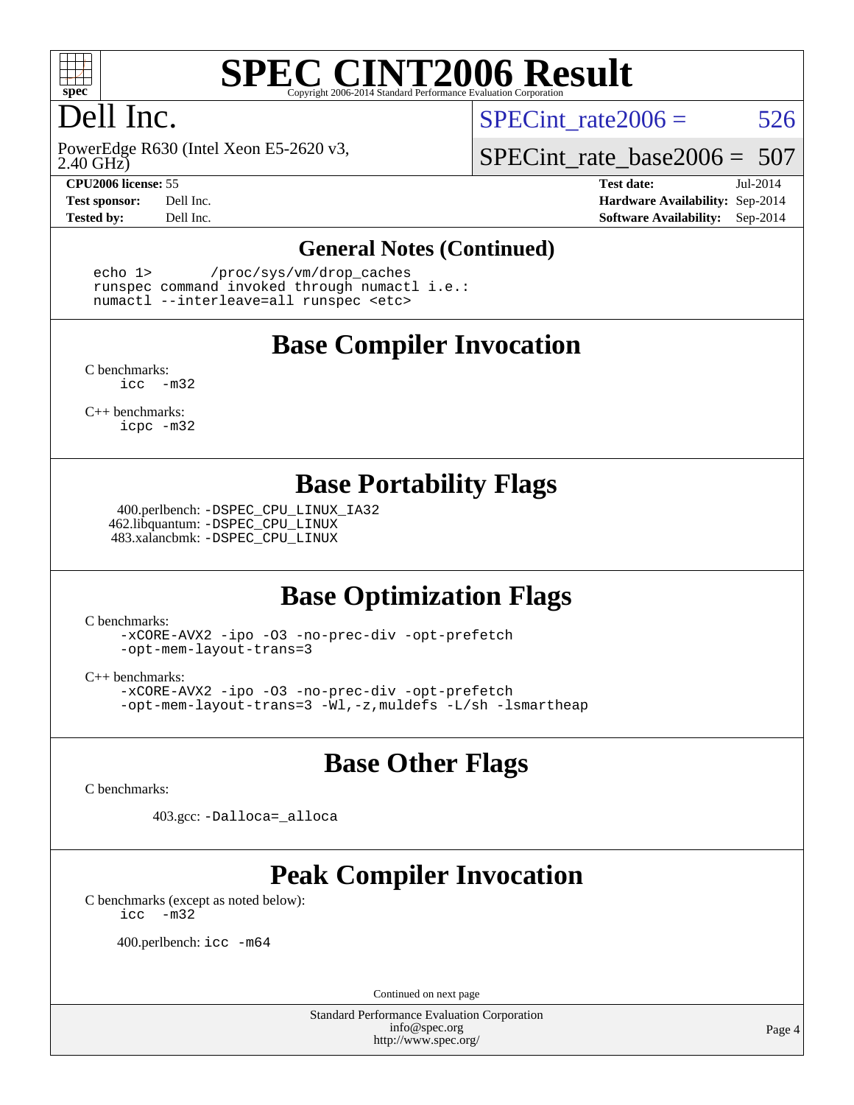

# **[SPEC CINT2006 Result](http://www.spec.org/auto/cpu2006/Docs/result-fields.html#SPECCINT2006Result)**

# Dell Inc.

2.40 GHz) PowerEdge R630 (Intel Xeon E5-2620 v3,

SPECint rate $2006 = 526$ 

[SPECint\\_rate\\_base2006 =](http://www.spec.org/auto/cpu2006/Docs/result-fields.html#SPECintratebase2006) 507

**[CPU2006 license:](http://www.spec.org/auto/cpu2006/Docs/result-fields.html#CPU2006license)** 55 **[Test date:](http://www.spec.org/auto/cpu2006/Docs/result-fields.html#Testdate)** Jul-2014 **[Test sponsor:](http://www.spec.org/auto/cpu2006/Docs/result-fields.html#Testsponsor)** Dell Inc. **[Hardware Availability:](http://www.spec.org/auto/cpu2006/Docs/result-fields.html#HardwareAvailability)** Sep-2014 **[Tested by:](http://www.spec.org/auto/cpu2006/Docs/result-fields.html#Testedby)** Dell Inc. **[Software Availability:](http://www.spec.org/auto/cpu2006/Docs/result-fields.html#SoftwareAvailability)** Sep-2014

#### **[General Notes \(Continued\)](http://www.spec.org/auto/cpu2006/Docs/result-fields.html#GeneralNotes)**

 echo 1> /proc/sys/vm/drop\_caches runspec command invoked through numactl i.e.: numactl --interleave=all runspec <etc>

#### **[Base Compiler Invocation](http://www.spec.org/auto/cpu2006/Docs/result-fields.html#BaseCompilerInvocation)**

[C benchmarks](http://www.spec.org/auto/cpu2006/Docs/result-fields.html#Cbenchmarks): [icc -m32](http://www.spec.org/cpu2006/results/res2014q3/cpu2006-20140909-31358.flags.html#user_CCbase_intel_icc_5ff4a39e364c98233615fdd38438c6f2)

[C++ benchmarks:](http://www.spec.org/auto/cpu2006/Docs/result-fields.html#CXXbenchmarks) [icpc -m32](http://www.spec.org/cpu2006/results/res2014q3/cpu2006-20140909-31358.flags.html#user_CXXbase_intel_icpc_4e5a5ef1a53fd332b3c49e69c3330699)

#### **[Base Portability Flags](http://www.spec.org/auto/cpu2006/Docs/result-fields.html#BasePortabilityFlags)**

 400.perlbench: [-DSPEC\\_CPU\\_LINUX\\_IA32](http://www.spec.org/cpu2006/results/res2014q3/cpu2006-20140909-31358.flags.html#b400.perlbench_baseCPORTABILITY_DSPEC_CPU_LINUX_IA32) 462.libquantum: [-DSPEC\\_CPU\\_LINUX](http://www.spec.org/cpu2006/results/res2014q3/cpu2006-20140909-31358.flags.html#b462.libquantum_baseCPORTABILITY_DSPEC_CPU_LINUX) 483.xalancbmk: [-DSPEC\\_CPU\\_LINUX](http://www.spec.org/cpu2006/results/res2014q3/cpu2006-20140909-31358.flags.html#b483.xalancbmk_baseCXXPORTABILITY_DSPEC_CPU_LINUX)

## **[Base Optimization Flags](http://www.spec.org/auto/cpu2006/Docs/result-fields.html#BaseOptimizationFlags)**

[C benchmarks](http://www.spec.org/auto/cpu2006/Docs/result-fields.html#Cbenchmarks):

[-xCORE-AVX2](http://www.spec.org/cpu2006/results/res2014q3/cpu2006-20140909-31358.flags.html#user_CCbase_f-xAVX2_5f5fc0cbe2c9f62c816d3e45806c70d7) [-ipo](http://www.spec.org/cpu2006/results/res2014q3/cpu2006-20140909-31358.flags.html#user_CCbase_f-ipo) [-O3](http://www.spec.org/cpu2006/results/res2014q3/cpu2006-20140909-31358.flags.html#user_CCbase_f-O3) [-no-prec-div](http://www.spec.org/cpu2006/results/res2014q3/cpu2006-20140909-31358.flags.html#user_CCbase_f-no-prec-div) [-opt-prefetch](http://www.spec.org/cpu2006/results/res2014q3/cpu2006-20140909-31358.flags.html#user_CCbase_f-opt-prefetch) [-opt-mem-layout-trans=3](http://www.spec.org/cpu2006/results/res2014q3/cpu2006-20140909-31358.flags.html#user_CCbase_f-opt-mem-layout-trans_a7b82ad4bd7abf52556d4961a2ae94d5)

[C++ benchmarks:](http://www.spec.org/auto/cpu2006/Docs/result-fields.html#CXXbenchmarks)

[-xCORE-AVX2](http://www.spec.org/cpu2006/results/res2014q3/cpu2006-20140909-31358.flags.html#user_CXXbase_f-xAVX2_5f5fc0cbe2c9f62c816d3e45806c70d7) [-ipo](http://www.spec.org/cpu2006/results/res2014q3/cpu2006-20140909-31358.flags.html#user_CXXbase_f-ipo) [-O3](http://www.spec.org/cpu2006/results/res2014q3/cpu2006-20140909-31358.flags.html#user_CXXbase_f-O3) [-no-prec-div](http://www.spec.org/cpu2006/results/res2014q3/cpu2006-20140909-31358.flags.html#user_CXXbase_f-no-prec-div) [-opt-prefetch](http://www.spec.org/cpu2006/results/res2014q3/cpu2006-20140909-31358.flags.html#user_CXXbase_f-opt-prefetch) [-opt-mem-layout-trans=3](http://www.spec.org/cpu2006/results/res2014q3/cpu2006-20140909-31358.flags.html#user_CXXbase_f-opt-mem-layout-trans_a7b82ad4bd7abf52556d4961a2ae94d5) [-Wl,-z,muldefs](http://www.spec.org/cpu2006/results/res2014q3/cpu2006-20140909-31358.flags.html#user_CXXbase_link_force_multiple1_74079c344b956b9658436fd1b6dd3a8a) [-L/sh -lsmartheap](http://www.spec.org/cpu2006/results/res2014q3/cpu2006-20140909-31358.flags.html#user_CXXbase_SmartHeap_32f6c82aa1ed9c52345d30cf6e4a0499)

#### **[Base Other Flags](http://www.spec.org/auto/cpu2006/Docs/result-fields.html#BaseOtherFlags)**

[C benchmarks](http://www.spec.org/auto/cpu2006/Docs/result-fields.html#Cbenchmarks):

403.gcc: [-Dalloca=\\_alloca](http://www.spec.org/cpu2006/results/res2014q3/cpu2006-20140909-31358.flags.html#b403.gcc_baseEXTRA_CFLAGS_Dalloca_be3056838c12de2578596ca5467af7f3)

# **[Peak Compiler Invocation](http://www.spec.org/auto/cpu2006/Docs/result-fields.html#PeakCompilerInvocation)**

[C benchmarks \(except as noted below\)](http://www.spec.org/auto/cpu2006/Docs/result-fields.html#Cbenchmarksexceptasnotedbelow): [icc -m32](http://www.spec.org/cpu2006/results/res2014q3/cpu2006-20140909-31358.flags.html#user_CCpeak_intel_icc_5ff4a39e364c98233615fdd38438c6f2)

400.perlbench: [icc -m64](http://www.spec.org/cpu2006/results/res2014q3/cpu2006-20140909-31358.flags.html#user_peakCCLD400_perlbench_intel_icc_64bit_bda6cc9af1fdbb0edc3795bac97ada53)

Continued on next page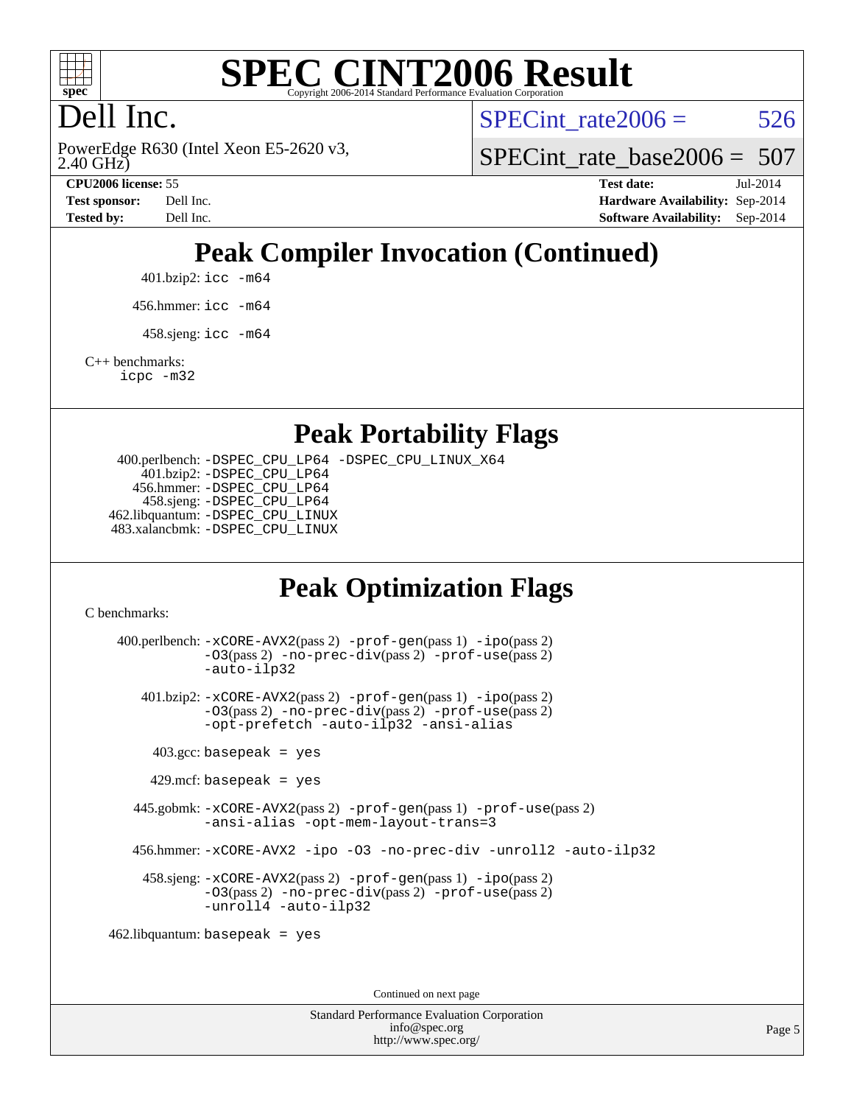

# **[SPEC CINT2006 Result](http://www.spec.org/auto/cpu2006/Docs/result-fields.html#SPECCINT2006Result)**

# Dell Inc.

2.40 GHz) PowerEdge R630 (Intel Xeon E5-2620 v3, SPECint rate $2006 = 526$ 

SPECint rate base2006 =  $507$ 

**[CPU2006 license:](http://www.spec.org/auto/cpu2006/Docs/result-fields.html#CPU2006license)** 55 **[Test date:](http://www.spec.org/auto/cpu2006/Docs/result-fields.html#Testdate)** Jul-2014 **[Test sponsor:](http://www.spec.org/auto/cpu2006/Docs/result-fields.html#Testsponsor)** Dell Inc. **[Hardware Availability:](http://www.spec.org/auto/cpu2006/Docs/result-fields.html#HardwareAvailability)** Sep-2014 **[Tested by:](http://www.spec.org/auto/cpu2006/Docs/result-fields.html#Testedby)** Dell Inc. **[Software Availability:](http://www.spec.org/auto/cpu2006/Docs/result-fields.html#SoftwareAvailability)** Sep-2014

# **[Peak Compiler Invocation \(Continued\)](http://www.spec.org/auto/cpu2006/Docs/result-fields.html#PeakCompilerInvocation)**

401.bzip2: [icc -m64](http://www.spec.org/cpu2006/results/res2014q3/cpu2006-20140909-31358.flags.html#user_peakCCLD401_bzip2_intel_icc_64bit_bda6cc9af1fdbb0edc3795bac97ada53)

456.hmmer: [icc -m64](http://www.spec.org/cpu2006/results/res2014q3/cpu2006-20140909-31358.flags.html#user_peakCCLD456_hmmer_intel_icc_64bit_bda6cc9af1fdbb0edc3795bac97ada53)

 $458 \text{.}$ sjeng: icc  $-\text{m64}$ 

[C++ benchmarks:](http://www.spec.org/auto/cpu2006/Docs/result-fields.html#CXXbenchmarks)

[icpc -m32](http://www.spec.org/cpu2006/results/res2014q3/cpu2006-20140909-31358.flags.html#user_CXXpeak_intel_icpc_4e5a5ef1a53fd332b3c49e69c3330699)

#### **[Peak Portability Flags](http://www.spec.org/auto/cpu2006/Docs/result-fields.html#PeakPortabilityFlags)**

 400.perlbench: [-DSPEC\\_CPU\\_LP64](http://www.spec.org/cpu2006/results/res2014q3/cpu2006-20140909-31358.flags.html#b400.perlbench_peakCPORTABILITY_DSPEC_CPU_LP64) [-DSPEC\\_CPU\\_LINUX\\_X64](http://www.spec.org/cpu2006/results/res2014q3/cpu2006-20140909-31358.flags.html#b400.perlbench_peakCPORTABILITY_DSPEC_CPU_LINUX_X64) 401.bzip2: [-DSPEC\\_CPU\\_LP64](http://www.spec.org/cpu2006/results/res2014q3/cpu2006-20140909-31358.flags.html#suite_peakCPORTABILITY401_bzip2_DSPEC_CPU_LP64) 456.hmmer: [-DSPEC\\_CPU\\_LP64](http://www.spec.org/cpu2006/results/res2014q3/cpu2006-20140909-31358.flags.html#suite_peakCPORTABILITY456_hmmer_DSPEC_CPU_LP64) 458.sjeng: [-DSPEC\\_CPU\\_LP64](http://www.spec.org/cpu2006/results/res2014q3/cpu2006-20140909-31358.flags.html#suite_peakCPORTABILITY458_sjeng_DSPEC_CPU_LP64) 462.libquantum: [-DSPEC\\_CPU\\_LINUX](http://www.spec.org/cpu2006/results/res2014q3/cpu2006-20140909-31358.flags.html#b462.libquantum_peakCPORTABILITY_DSPEC_CPU_LINUX) 483.xalancbmk: [-DSPEC\\_CPU\\_LINUX](http://www.spec.org/cpu2006/results/res2014q3/cpu2006-20140909-31358.flags.html#b483.xalancbmk_peakCXXPORTABILITY_DSPEC_CPU_LINUX)

## **[Peak Optimization Flags](http://www.spec.org/auto/cpu2006/Docs/result-fields.html#PeakOptimizationFlags)**

[C benchmarks](http://www.spec.org/auto/cpu2006/Docs/result-fields.html#Cbenchmarks):

 400.perlbench: [-xCORE-AVX2](http://www.spec.org/cpu2006/results/res2014q3/cpu2006-20140909-31358.flags.html#user_peakPASS2_CFLAGSPASS2_LDCFLAGS400_perlbench_f-xAVX2_5f5fc0cbe2c9f62c816d3e45806c70d7)(pass 2) [-prof-gen](http://www.spec.org/cpu2006/results/res2014q3/cpu2006-20140909-31358.flags.html#user_peakPASS1_CFLAGSPASS1_LDCFLAGS400_perlbench_prof_gen_e43856698f6ca7b7e442dfd80e94a8fc)(pass 1) [-ipo](http://www.spec.org/cpu2006/results/res2014q3/cpu2006-20140909-31358.flags.html#user_peakPASS2_CFLAGSPASS2_LDCFLAGS400_perlbench_f-ipo)(pass 2) [-O3](http://www.spec.org/cpu2006/results/res2014q3/cpu2006-20140909-31358.flags.html#user_peakPASS2_CFLAGSPASS2_LDCFLAGS400_perlbench_f-O3)(pass 2) [-no-prec-div](http://www.spec.org/cpu2006/results/res2014q3/cpu2006-20140909-31358.flags.html#user_peakPASS2_CFLAGSPASS2_LDCFLAGS400_perlbench_f-no-prec-div)(pass 2) [-prof-use](http://www.spec.org/cpu2006/results/res2014q3/cpu2006-20140909-31358.flags.html#user_peakPASS2_CFLAGSPASS2_LDCFLAGS400_perlbench_prof_use_bccf7792157ff70d64e32fe3e1250b55)(pass 2) [-auto-ilp32](http://www.spec.org/cpu2006/results/res2014q3/cpu2006-20140909-31358.flags.html#user_peakCOPTIMIZE400_perlbench_f-auto-ilp32) 401.bzip2: [-xCORE-AVX2](http://www.spec.org/cpu2006/results/res2014q3/cpu2006-20140909-31358.flags.html#user_peakPASS2_CFLAGSPASS2_LDCFLAGS401_bzip2_f-xAVX2_5f5fc0cbe2c9f62c816d3e45806c70d7)(pass 2) [-prof-gen](http://www.spec.org/cpu2006/results/res2014q3/cpu2006-20140909-31358.flags.html#user_peakPASS1_CFLAGSPASS1_LDCFLAGS401_bzip2_prof_gen_e43856698f6ca7b7e442dfd80e94a8fc)(pass 1) [-ipo](http://www.spec.org/cpu2006/results/res2014q3/cpu2006-20140909-31358.flags.html#user_peakPASS2_CFLAGSPASS2_LDCFLAGS401_bzip2_f-ipo)(pass 2) [-O3](http://www.spec.org/cpu2006/results/res2014q3/cpu2006-20140909-31358.flags.html#user_peakPASS2_CFLAGSPASS2_LDCFLAGS401_bzip2_f-O3)(pass 2) [-no-prec-div](http://www.spec.org/cpu2006/results/res2014q3/cpu2006-20140909-31358.flags.html#user_peakPASS2_CFLAGSPASS2_LDCFLAGS401_bzip2_f-no-prec-div)(pass 2) [-prof-use](http://www.spec.org/cpu2006/results/res2014q3/cpu2006-20140909-31358.flags.html#user_peakPASS2_CFLAGSPASS2_LDCFLAGS401_bzip2_prof_use_bccf7792157ff70d64e32fe3e1250b55)(pass 2) [-opt-prefetch](http://www.spec.org/cpu2006/results/res2014q3/cpu2006-20140909-31358.flags.html#user_peakCOPTIMIZE401_bzip2_f-opt-prefetch) [-auto-ilp32](http://www.spec.org/cpu2006/results/res2014q3/cpu2006-20140909-31358.flags.html#user_peakCOPTIMIZE401_bzip2_f-auto-ilp32) [-ansi-alias](http://www.spec.org/cpu2006/results/res2014q3/cpu2006-20140909-31358.flags.html#user_peakCOPTIMIZE401_bzip2_f-ansi-alias)  $403.\text{gcc: basepeak}$  = yes  $429$ .mcf: basepeak = yes 445.gobmk: [-xCORE-AVX2](http://www.spec.org/cpu2006/results/res2014q3/cpu2006-20140909-31358.flags.html#user_peakPASS2_CFLAGSPASS2_LDCFLAGS445_gobmk_f-xAVX2_5f5fc0cbe2c9f62c816d3e45806c70d7)(pass 2) [-prof-gen](http://www.spec.org/cpu2006/results/res2014q3/cpu2006-20140909-31358.flags.html#user_peakPASS1_CFLAGSPASS1_LDCFLAGS445_gobmk_prof_gen_e43856698f6ca7b7e442dfd80e94a8fc)(pass 1) [-prof-use](http://www.spec.org/cpu2006/results/res2014q3/cpu2006-20140909-31358.flags.html#user_peakPASS2_CFLAGSPASS2_LDCFLAGS445_gobmk_prof_use_bccf7792157ff70d64e32fe3e1250b55)(pass 2) [-ansi-alias](http://www.spec.org/cpu2006/results/res2014q3/cpu2006-20140909-31358.flags.html#user_peakCOPTIMIZE445_gobmk_f-ansi-alias) [-opt-mem-layout-trans=3](http://www.spec.org/cpu2006/results/res2014q3/cpu2006-20140909-31358.flags.html#user_peakCOPTIMIZE445_gobmk_f-opt-mem-layout-trans_a7b82ad4bd7abf52556d4961a2ae94d5) 456.hmmer: [-xCORE-AVX2](http://www.spec.org/cpu2006/results/res2014q3/cpu2006-20140909-31358.flags.html#user_peakCOPTIMIZE456_hmmer_f-xAVX2_5f5fc0cbe2c9f62c816d3e45806c70d7) [-ipo](http://www.spec.org/cpu2006/results/res2014q3/cpu2006-20140909-31358.flags.html#user_peakCOPTIMIZE456_hmmer_f-ipo) [-O3](http://www.spec.org/cpu2006/results/res2014q3/cpu2006-20140909-31358.flags.html#user_peakCOPTIMIZE456_hmmer_f-O3) [-no-prec-div](http://www.spec.org/cpu2006/results/res2014q3/cpu2006-20140909-31358.flags.html#user_peakCOPTIMIZE456_hmmer_f-no-prec-div) [-unroll2](http://www.spec.org/cpu2006/results/res2014q3/cpu2006-20140909-31358.flags.html#user_peakCOPTIMIZE456_hmmer_f-unroll_784dae83bebfb236979b41d2422d7ec2) [-auto-ilp32](http://www.spec.org/cpu2006/results/res2014q3/cpu2006-20140909-31358.flags.html#user_peakCOPTIMIZE456_hmmer_f-auto-ilp32) 458.sjeng: [-xCORE-AVX2](http://www.spec.org/cpu2006/results/res2014q3/cpu2006-20140909-31358.flags.html#user_peakPASS2_CFLAGSPASS2_LDCFLAGS458_sjeng_f-xAVX2_5f5fc0cbe2c9f62c816d3e45806c70d7)(pass 2) [-prof-gen](http://www.spec.org/cpu2006/results/res2014q3/cpu2006-20140909-31358.flags.html#user_peakPASS1_CFLAGSPASS1_LDCFLAGS458_sjeng_prof_gen_e43856698f6ca7b7e442dfd80e94a8fc)(pass 1) [-ipo](http://www.spec.org/cpu2006/results/res2014q3/cpu2006-20140909-31358.flags.html#user_peakPASS2_CFLAGSPASS2_LDCFLAGS458_sjeng_f-ipo)(pass 2) [-O3](http://www.spec.org/cpu2006/results/res2014q3/cpu2006-20140909-31358.flags.html#user_peakPASS2_CFLAGSPASS2_LDCFLAGS458_sjeng_f-O3)(pass 2) [-no-prec-div](http://www.spec.org/cpu2006/results/res2014q3/cpu2006-20140909-31358.flags.html#user_peakPASS2_CFLAGSPASS2_LDCFLAGS458_sjeng_f-no-prec-div)(pass 2) [-prof-use](http://www.spec.org/cpu2006/results/res2014q3/cpu2006-20140909-31358.flags.html#user_peakPASS2_CFLAGSPASS2_LDCFLAGS458_sjeng_prof_use_bccf7792157ff70d64e32fe3e1250b55)(pass 2) [-unroll4](http://www.spec.org/cpu2006/results/res2014q3/cpu2006-20140909-31358.flags.html#user_peakCOPTIMIZE458_sjeng_f-unroll_4e5e4ed65b7fd20bdcd365bec371b81f) [-auto-ilp32](http://www.spec.org/cpu2006/results/res2014q3/cpu2006-20140909-31358.flags.html#user_peakCOPTIMIZE458_sjeng_f-auto-ilp32) 462.libquantum: basepeak = yes

Continued on next page